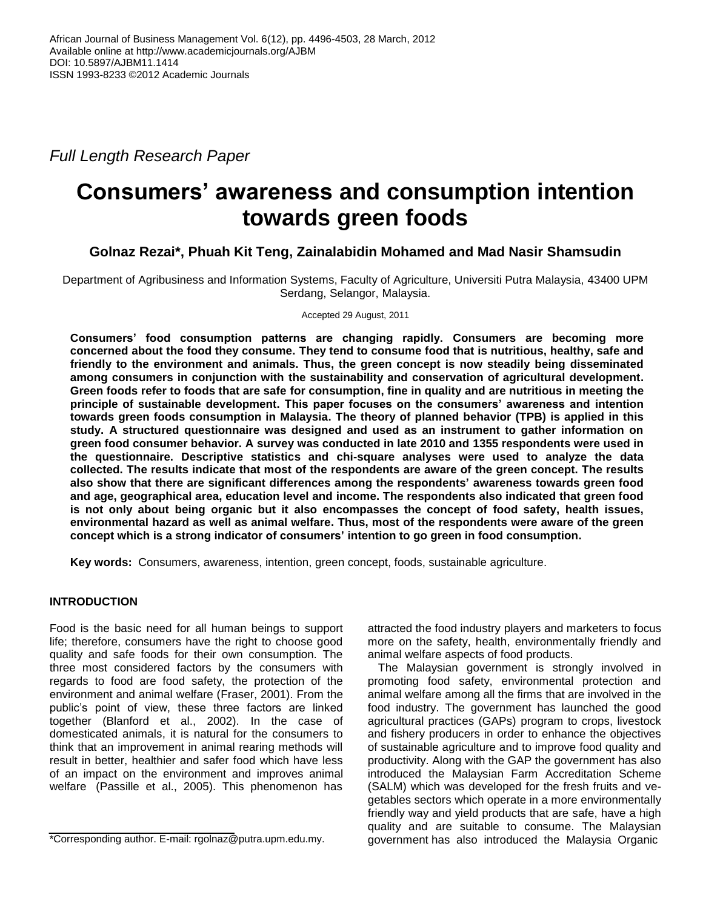*Full Length Research Paper*

# **Consumers' awareness and consumption intention towards green foods**

# **Golnaz Rezai\*, Phuah Kit Teng, Zainalabidin Mohamed and Mad Nasir Shamsudin**

Department of Agribusiness and Information Systems, Faculty of Agriculture, Universiti Putra Malaysia, 43400 UPM Serdang, Selangor, Malaysia.

Accepted 29 August, 2011

**Consumers' food consumption patterns are changing rapidly. Consumers are becoming more concerned about the food they consume. They tend to consume food that is nutritious, healthy, safe and friendly to the environment and animals. Thus, the green concept is now steadily being disseminated among consumers in conjunction with the sustainability and conservation of agricultural development. Green foods refer to foods that are safe for consumption, fine in quality and are nutritious in meeting the principle of sustainable development. This paper focuses on the consumers' awareness and intention towards green foods consumption in Malaysia. The theory of planned behavior (TPB) is applied in this study. A structured questionnaire was designed and used as an instrument to gather information on green food consumer behavior. A survey was conducted in late 2010 and 1355 respondents were used in the questionnaire. Descriptive statistics and chi-square analyses were used to analyze the data collected. The results indicate that most of the respondents are aware of the green concept. The results also show that there are significant differences among the respondents' awareness towards green food and age, geographical area, education level and income. The respondents also indicated that green food is not only about being organic but it also encompasses the concept of food safety, health issues, environmental hazard as well as animal welfare. Thus, most of the respondents were aware of the green concept which is a strong indicator of consumers' intention to go green in food consumption.**

**Key words:** Consumers, awareness, intention, green concept, foods, sustainable agriculture.

# **INTRODUCTION**

Food is the basic need for all human beings to support life; therefore, consumers have the right to choose good quality and safe foods for their own consumption. The three most considered factors by the consumers with regards to food are food safety, the protection of the environment and animal welfare (Fraser, 2001). From the public"s point of view, these three factors are linked together (Blanford et al., 2002). In the case of domesticated animals, it is natural for the consumers to think that an improvement in animal rearing methods will result in better, healthier and safer food which have less of an impact on the environment and improves animal welfare (Passille et al., 2005). This phenomenon has

attracted the food industry players and marketers to focus more on the safety, health, environmentally friendly and animal welfare aspects of food products.

The Malaysian government is strongly involved in promoting food safety, environmental protection and animal welfare among all the firms that are involved in the food industry. The government has launched the good agricultural practices (GAPs) program to crops, livestock and fishery producers in order to enhance the objectives of sustainable agriculture and to improve food quality and productivity. Along with the GAP the government has also introduced the Malaysian Farm Accreditation Scheme (SALM) which was developed for the fresh fruits and vegetables sectors which operate in a more environmentally friendly way and yield products that are safe, have a high quality and are suitable to consume. The Malaysian government has also introduced the Malaysia Organic

<sup>\*</sup>Corresponding author. E-mail: rgolnaz@putra.upm.edu.my.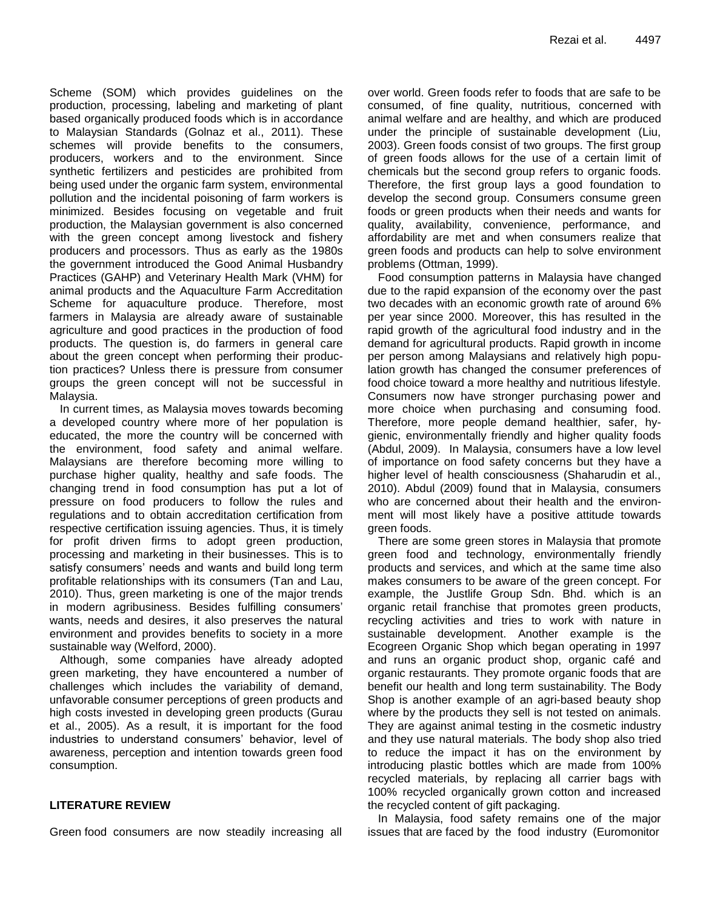Scheme (SOM) which provides guidelines on the production, processing, labeling and marketing of plant based organically produced foods which is in accordance to Malaysian Standards (Golnaz et al., 2011). These schemes will provide benefits to the consumers, producers, workers and to the environment. Since synthetic fertilizers and pesticides are prohibited from being used under the organic farm system, environmental pollution and the incidental poisoning of farm workers is minimized. Besides focusing on vegetable and fruit production, the Malaysian government is also concerned with the green concept among livestock and fishery producers and processors. Thus as early as the 1980s the government introduced the Good Animal Husbandry Practices (GAHP) and Veterinary Health Mark (VHM) for animal products and the Aquaculture Farm Accreditation Scheme for aquaculture produce. Therefore, most farmers in Malaysia are already aware of sustainable agriculture and good practices in the production of food products. The question is, do farmers in general care about the green concept when performing their production practices? Unless there is pressure from consumer groups the green concept will not be successful in Malaysia.

In current times, as Malaysia moves towards becoming a developed country where more of her population is educated, the more the country will be concerned with the environment, food safety and animal welfare. Malaysians are therefore becoming more willing to purchase higher quality, healthy and safe foods. The changing trend in food consumption has put a lot of pressure on food producers to follow the rules and regulations and to obtain accreditation certification from respective certification issuing agencies. Thus, it is timely for profit driven firms to adopt green production, processing and marketing in their businesses. This is to satisfy consumers' needs and wants and build long term profitable relationships with its consumers (Tan and Lau, 2010). Thus, green marketing is one of the major trends in modern agribusiness. Besides fulfilling consumers" wants, needs and desires, it also preserves the natural environment and provides benefits to society in a more sustainable way (Welford, 2000).

Although, some companies have already adopted green marketing, they have encountered a number of challenges which includes the variability of demand, unfavorable consumer perceptions of green products and high costs invested in developing green products (Gurau et al., 2005). As a result, it is important for the food industries to understand consumers' behavior, level of awareness, perception and intention towards green food consumption.

# **LITERATURE REVIEW**

Green food consumers are now steadily increasing all

over world. Green foods refer to foods that are safe to be consumed, of fine quality, nutritious, concerned with animal welfare and are healthy, and which are produced under the principle of sustainable development (Liu, 2003). Green foods consist of two groups. The first group of green foods allows for the use of a certain limit of chemicals but the second group refers to organic foods. Therefore, the first group lays a good foundation to develop the second group. Consumers consume green foods or green products when their needs and wants for quality, availability, convenience, performance, and affordability are met and when consumers realize that green foods and products can help to solve environment problems (Ottman, 1999).

Food consumption patterns in Malaysia have changed due to the rapid expansion of the economy over the past two decades with an economic growth rate of around 6% per year since 2000. Moreover, this has resulted in the rapid growth of the agricultural food industry and in the demand for agricultural products. Rapid growth in income per person among Malaysians and relatively high population growth has changed the consumer preferences of food choice toward a more healthy and nutritious lifestyle. Consumers now have stronger purchasing power and more choice when purchasing and consuming food. Therefore, more people demand healthier, safer, hygienic, environmentally friendly and higher quality foods (Abdul, 2009). In Malaysia, consumers have a low level of importance on food safety concerns but they have a higher level of health consciousness (Shaharudin et al., 2010). Abdul (2009) found that in Malaysia, consumers who are concerned about their health and the environment will most likely have a positive attitude towards green foods.

There are some green stores in Malaysia that promote green food and technology, environmentally friendly products and services, and which at the same time also makes consumers to be aware of the green concept. For example, the Justlife Group Sdn. Bhd. which is an organic retail franchise that promotes green products, recycling activities and tries to work with nature in sustainable development. Another example is the Ecogreen Organic Shop which began operating in 1997 and runs an organic product shop, organic café and organic restaurants. They promote organic foods that are benefit our health and long term sustainability. The Body Shop is another example of an agri-based beauty shop where by the products they sell is not tested on animals. They are against animal testing in the cosmetic industry and they use natural materials. The body shop also tried to reduce the impact it has on the environment by introducing plastic bottles which are made from 100% recycled materials, by replacing all carrier bags with 100% recycled organically grown cotton and increased the recycled content of gift packaging.

In Malaysia, food safety remains one of the major issues that are faced by the food industry (Euromonitor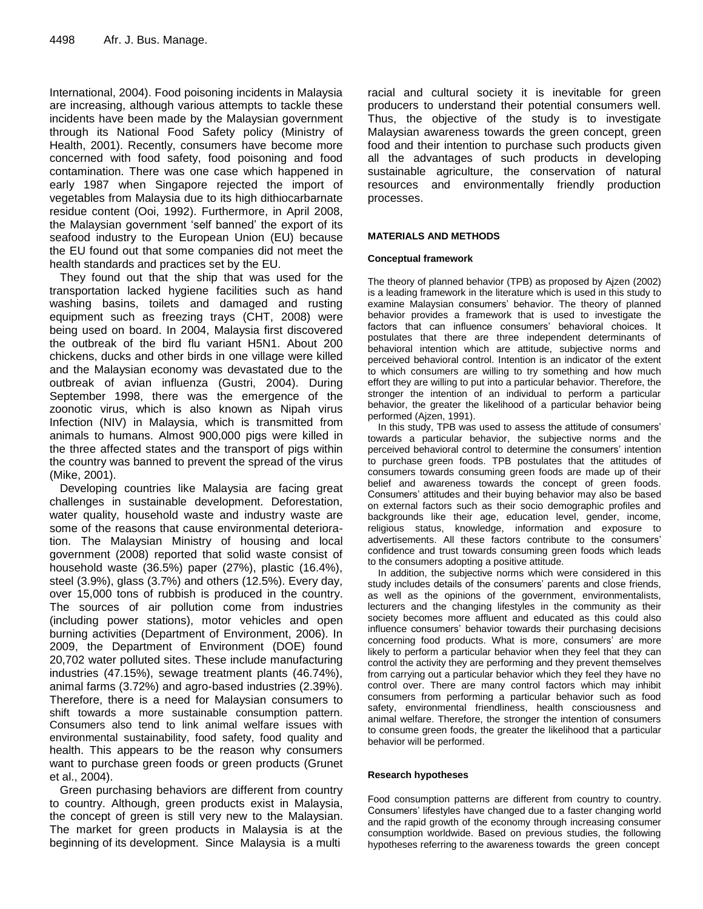International, 2004). Food poisoning incidents in Malaysia are increasing, although various attempts to tackle these incidents have been made by the Malaysian government through its National Food Safety policy (Ministry of Health, 2001). Recently, consumers have become more concerned with food safety, food poisoning and food contamination. There was one case which happened in early 1987 when Singapore rejected the import of vegetables from Malaysia due to its high dithiocarbarnate residue content (Ooi, 1992). Furthermore, in April 2008, the Malaysian government "self banned" the export of its seafood industry to the European Union (EU) because the EU found out that some companies did not meet the health standards and practices set by the EU.

They found out that the ship that was used for the transportation lacked hygiene facilities such as hand washing basins, toilets and damaged and rusting equipment such as freezing trays (CHT, 2008) were being used on board. In 2004, Malaysia first discovered the outbreak of the bird flu variant H5N1. About 200 chickens, ducks and other birds in one village were killed and the Malaysian economy was devastated due to the outbreak of avian influenza (Gustri, 2004). During September 1998, there was the emergence of the zoonotic virus, which is also known as Nipah virus Infection (NIV) in Malaysia, which is transmitted from animals to humans. Almost 900,000 pigs were killed in the three affected states and the transport of pigs within the country was banned to prevent the spread of the virus (Mike, 2001).

Developing countries like Malaysia are facing great challenges in sustainable development. Deforestation, water quality, household waste and industry waste are some of the reasons that cause environmental deterioration. The Malaysian Ministry of housing and local government (2008) reported that solid waste consist of household waste (36.5%) paper (27%), plastic (16.4%), steel (3.9%), glass (3.7%) and others (12.5%). Every day, over 15,000 tons of rubbish is produced in the country. The sources of air pollution come from industries (including power stations), motor vehicles and open burning activities (Department of Environment, 2006). In 2009, the Department of Environment (DOE) found 20,702 water polluted sites. These include manufacturing industries (47.15%), sewage treatment plants (46.74%), animal farms (3.72%) and agro-based industries (2.39%). Therefore, there is a need for Malaysian consumers to shift towards a more sustainable consumption pattern. Consumers also tend to link animal welfare issues with environmental sustainability, food safety, food quality and health. This appears to be the reason why consumers want to purchase green foods or green products (Grunet et al., 2004).

Green purchasing behaviors are different from country to country. Although, green products exist in Malaysia, the concept of green is still very new to the Malaysian. The market for green products in Malaysia is at the beginning of its development. Since Malaysia is a multi

racial and cultural society it is inevitable for green producers to understand their potential consumers well. Thus, the objective of the study is to investigate Malaysian awareness towards the green concept, green food and their intention to purchase such products given all the advantages of such products in developing sustainable agriculture, the conservation of natural resources and environmentally friendly production processes.

## **MATERIALS AND METHODS**

#### **Conceptual framework**

The theory of planned behavior (TPB) as proposed by Ajzen (2002) is a leading framework in the literature which is used in this study to examine Malaysian consumers' behavior. The theory of planned behavior provides a framework that is used to investigate the factors that can influence consumers' behavioral choices. It postulates that there are three independent determinants of behavioral intention which are attitude, subjective norms and perceived behavioral control. Intention is an indicator of the extent to which consumers are willing to try something and how much effort they are willing to put into a particular behavior. Therefore, the stronger the intention of an individual to perform a particular behavior, the greater the likelihood of a particular behavior being performed (Ajzen, 1991).

In this study, TPB was used to assess the attitude of consumers' towards a particular behavior, the subjective norms and the perceived behavioral control to determine the consumers' intention to purchase green foods. TPB postulates that the attitudes of consumers towards consuming green foods are made up of their belief and awareness towards the concept of green foods. Consumers" attitudes and their buying behavior may also be based on external factors such as their socio demographic profiles and backgrounds like their age, education level, gender, income, religious status, knowledge, information and exposure to advertisements. All these factors contribute to the consumers" confidence and trust towards consuming green foods which leads to the consumers adopting a positive attitude.

In addition, the subjective norms which were considered in this study includes details of the consumers' parents and close friends, as well as the opinions of the government, environmentalists, lecturers and the changing lifestyles in the community as their society becomes more affluent and educated as this could also influence consumers" behavior towards their purchasing decisions concerning food products. What is more, consumers' are more likely to perform a particular behavior when they feel that they can control the activity they are performing and they prevent themselves from carrying out a particular behavior which they feel they have no control over. There are many control factors which may inhibit consumers from performing a particular behavior such as food safety, environmental friendliness, health consciousness and animal welfare. Therefore, the stronger the intention of consumers to consume green foods, the greater the likelihood that a particular behavior will be performed.

#### **Research hypotheses**

Food consumption patterns are different from country to country. Consumers" lifestyles have changed due to a faster changing world and the rapid growth of the economy through increasing consumer consumption worldwide. Based on previous studies, the following hypotheses referring to the awareness towards the green concept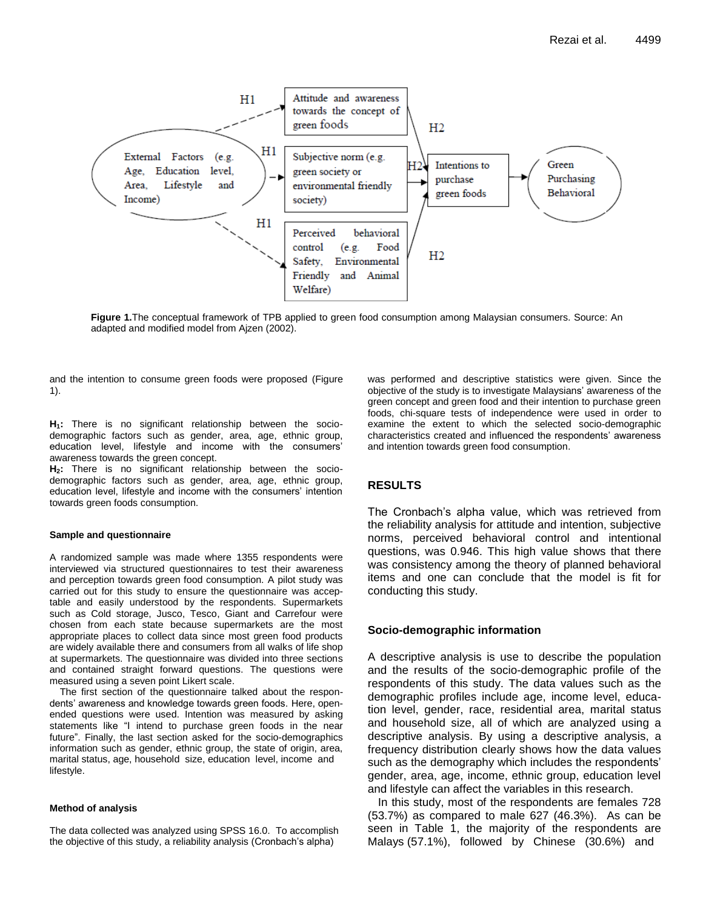

**Figure 1.**The conceptual framework of TPB applied to green food consumption among Malaysian consumers. Source: An adapted and modified model from Ajzen (2002).

and the intention to consume green foods were proposed (Figure 1).

**H1:** There is no significant relationship between the sociodemographic factors such as gender, area, age, ethnic group, education level, lifestyle and income with the consumers' awareness towards the green concept.

**H2:** There is no significant relationship between the sociodemographic factors such as gender, area, age, ethnic group, education level, lifestyle and income with the consumers' intention towards green foods consumption.

#### **Sample and questionnaire**

A randomized sample was made where 1355 respondents were interviewed via structured questionnaires to test their awareness and perception towards green food consumption. A pilot study was carried out for this study to ensure the questionnaire was acceptable and easily understood by the respondents. Supermarkets such as Cold storage, Jusco, Tesco, Giant and Carrefour were chosen from each state because supermarkets are the most appropriate places to collect data since most green food products are widely available there and consumers from all walks of life shop at supermarkets. The questionnaire was divided into three sections and contained straight forward questions. The questions were measured using a seven point Likert scale.

The first section of the questionnaire talked about the respondents" awareness and knowledge towards green foods. Here, openended questions were used. Intention was measured by asking statements like "I intend to purchase green foods in the near future". Finally, the last section asked for the socio-demographics information such as gender, ethnic group, the state of origin, area, marital status, age, household size, education level, income and lifestyle.

#### **Method of analysis**

The data collected was analyzed using SPSS 16.0. To accomplish the objective of this study, a reliability analysis (Cronbach"s alpha)

was performed and descriptive statistics were given. Since the objective of the study is to investigate Malaysians" awareness of the green concept and green food and their intention to purchase green foods, chi-square tests of independence were used in order to examine the extent to which the selected socio-demographic characteristics created and influenced the respondents' awareness and intention towards green food consumption.

### **RESULTS**

The Cronbach"s alpha value, which was retrieved from the reliability analysis for attitude and intention, subjective norms, perceived behavioral control and intentional questions, was 0.946. This high value shows that there was consistency among the theory of planned behavioral items and one can conclude that the model is fit for conducting this study.

#### **Socio-demographic information**

A descriptive analysis is use to describe the population and the results of the socio-demographic profile of the respondents of this study. The data values such as the demographic profiles include age, income level, education level, gender, race, residential area, marital status and household size, all of which are analyzed using a descriptive analysis. By using a descriptive analysis, a frequency distribution clearly shows how the data values such as the demography which includes the respondents' gender, area, age, income, ethnic group, education level and lifestyle can affect the variables in this research.

In this study, most of the respondents are females 728 (53.7%) as compared to male 627 (46.3%). As can be seen in Table 1, the majority of the respondents are Malays (57.1%), followed by Chinese (30.6%) and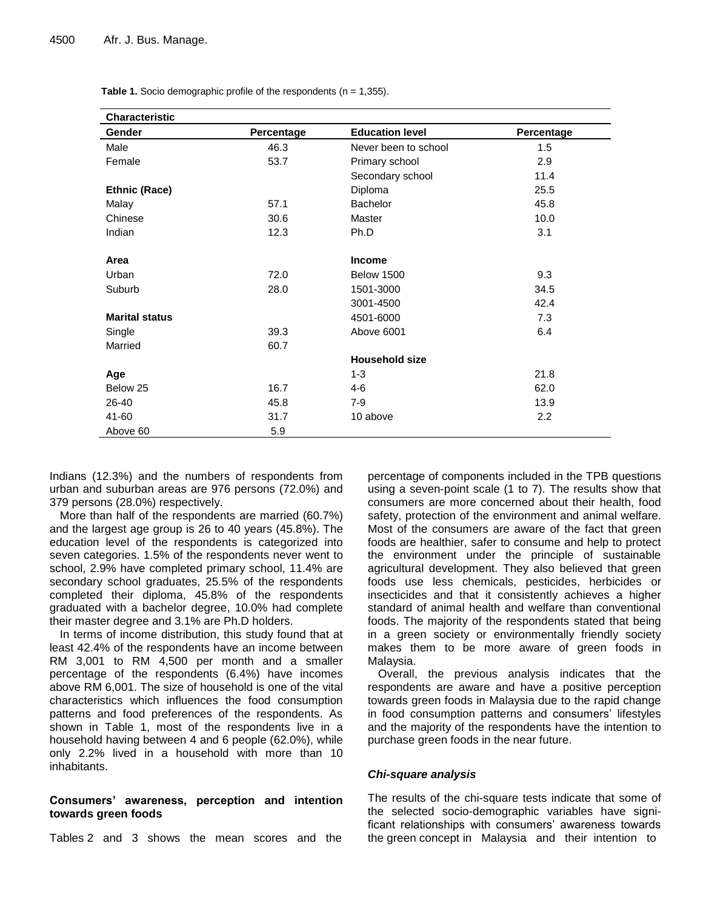**Table 1.** Socio demographic profile of the respondents (n = 1,355).

| Characteristic        |            |                        |            |
|-----------------------|------------|------------------------|------------|
| Gender                | Percentage | <b>Education level</b> | Percentage |
| Male                  | 46.3       | Never been to school   | 1.5        |
| Female                | 53.7       | Primary school         | 2.9        |
|                       |            | Secondary school       | 11.4       |
| Ethnic (Race)         |            | Diploma                | 25.5       |
| Malay                 | 57.1       | Bachelor               | 45.8       |
| Chinese               | 30.6       | Master                 | 10.0       |
| Indian                | 12.3       | Ph.D                   | 3.1        |
| Area                  |            | Income                 |            |
| Urban                 | 72.0       | <b>Below 1500</b>      | 9.3        |
| Suburb                | 28.0       | 1501-3000              | 34.5       |
|                       |            | 3001-4500              | 42.4       |
| <b>Marital status</b> |            | 4501-6000              | 7.3        |
| Single                | 39.3       | Above 6001             | 6.4        |
| Married               | 60.7       |                        |            |
|                       |            | <b>Household size</b>  |            |
| Age                   |            | $1 - 3$                | 21.8       |
| Below 25              | 16.7       | $4-6$                  | 62.0       |
| 26-40                 | 45.8       | $7-9$                  | 13.9       |
| 41-60                 | 31.7       | 10 above               | 2.2        |
| Above 60              | 5.9        |                        |            |

Indians (12.3%) and the numbers of respondents from urban and suburban areas are 976 persons (72.0%) and 379 persons (28.0%) respectively.

More than half of the respondents are married (60.7%) and the largest age group is 26 to 40 years (45.8%). The education level of the respondents is categorized into seven categories. 1.5% of the respondents never went to school, 2.9% have completed primary school, 11.4% are secondary school graduates, 25.5% of the respondents completed their diploma, 45.8% of the respondents graduated with a bachelor degree, 10.0% had complete their master degree and 3.1% are Ph.D holders.

In terms of income distribution, this study found that at least 42.4% of the respondents have an income between RM 3,001 to RM 4,500 per month and a smaller percentage of the respondents (6.4%) have incomes above RM 6,001. The size of household is one of the vital characteristics which influences the food consumption patterns and food preferences of the respondents. As shown in Table 1, most of the respondents live in a household having between 4 and 6 people (62.0%), while only 2.2% lived in a household with more than 10 inhabitants.

# **Consumers' awareness, perception and intention towards green foods**

Tables 2 and 3 shows the mean scores and the

percentage of components included in the TPB questions using a seven-point scale (1 to 7). The results show that consumers are more concerned about their health, food safety, protection of the environment and animal welfare. Most of the consumers are aware of the fact that green foods are healthier, safer to consume and help to protect the environment under the principle of sustainable agricultural development. They also believed that green foods use less chemicals, pesticides, herbicides or insecticides and that it consistently achieves a higher standard of animal health and welfare than conventional foods. The majority of the respondents stated that being in a green society or environmentally friendly society makes them to be more aware of green foods in Malaysia.

Overall, the previous analysis indicates that the respondents are aware and have a positive perception towards green foods in Malaysia due to the rapid change in food consumption patterns and consumers' lifestyles and the majority of the respondents have the intention to purchase green foods in the near future.

## *Chi-square analysis*

The results of the chi-square tests indicate that some of the selected socio-demographic variables have significant relationships with consumers' awareness towards the green concept in Malaysia and their intention to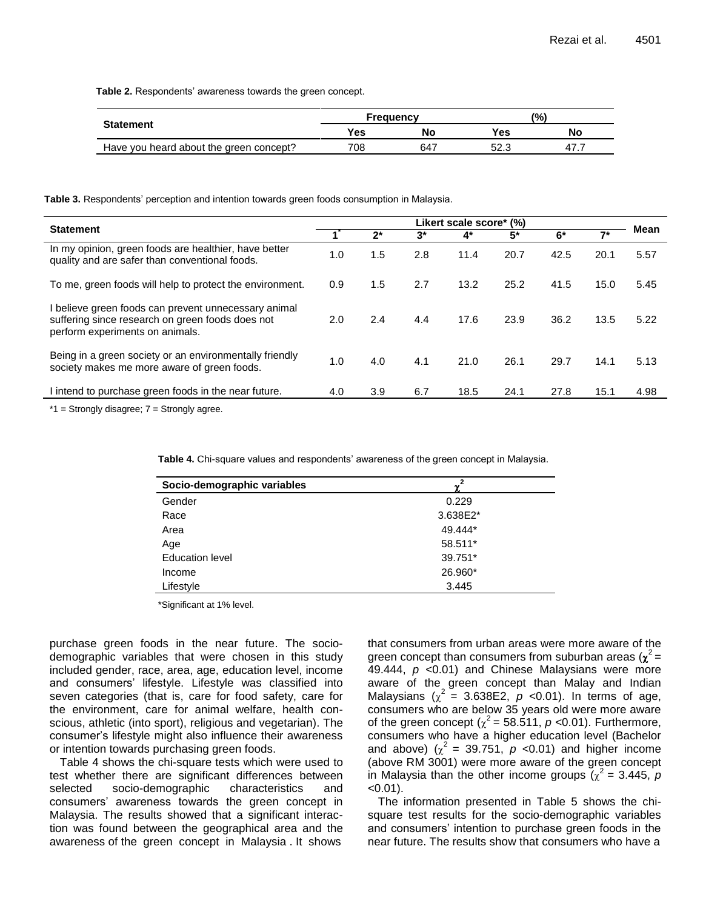**Table 2.** Respondents" awareness towards the green concept.

|                                         |     | Frequency | (%)  |      |
|-----------------------------------------|-----|-----------|------|------|
| <b>Statement</b>                        | Yes | Nο        | Yes  | No   |
| Have you heard about the green concept? | 708 | 647       | 52.3 | 47., |

**Table 3.** Respondents" perception and intention towards green foods consumption in Malaysia.

| <b>Statement</b>                                                                                                                            |     | Likert scale score* (%) |       |       |      |      |      |      |
|---------------------------------------------------------------------------------------------------------------------------------------------|-----|-------------------------|-------|-------|------|------|------|------|
|                                                                                                                                             |     | $2^*$                   | $3^*$ | $4^*$ | 5*   | $6*$ | 7*   | Mean |
| In my opinion, green foods are healthier, have better<br>quality and are safer than conventional foods.                                     | 1.0 | 1.5                     | 2.8   | 11.4  | 20.7 | 42.5 | 20.1 | 5.57 |
| To me, green foods will help to protect the environment.                                                                                    | 0.9 | 1.5                     | 2.7   | 13.2  | 25.2 | 41.5 | 15.0 | 5.45 |
| I believe green foods can prevent unnecessary animal<br>suffering since research on green foods does not<br>perform experiments on animals. | 2.0 | 2.4                     | 4.4   | 17.6  | 23.9 | 36.2 | 13.5 | 5.22 |
| Being in a green society or an environmentally friendly<br>society makes me more aware of green foods.                                      | 1.0 | 4.0                     | 4.1   | 21.0  | 26.1 | 29.7 | 14.1 | 5.13 |
| I intend to purchase green foods in the near future.                                                                                        | 4.0 | 3.9                     | 6.7   | 18.5  | 24.1 | 27.8 | 15.1 | 4.98 |

 $*1$  = Strongly disagree;  $7$  = Strongly agree.

| Socio-demographic variables | $\gamma^2$ |  |
|-----------------------------|------------|--|
| Gender                      | 0.229      |  |
| Race                        | 3.638E2*   |  |
| Area                        | 49.444*    |  |
| Age                         | 58.511*    |  |
| <b>Education level</b>      | 39.751*    |  |
| Income                      | 26.960*    |  |
| Lifestyle                   | 3.445      |  |

**Table 4.** Chi-square values and respondents" awareness of the green concept in Malaysia.

\*Significant at 1% level.

purchase green foods in the near future. The sociodemographic variables that were chosen in this study included gender, race, area, age, education level, income and consumers' lifestyle. Lifestyle was classified into seven categories (that is, care for food safety, care for the environment, care for animal welfare, health conscious, athletic (into sport), religious and vegetarian). The consumer"s lifestyle might also influence their awareness or intention towards purchasing green foods.

Table 4 shows the chi-square tests which were used to test whether there are significant differences between selected socio-demographic characteristics and consumers" awareness towards the green concept in Malaysia. The results showed that a significant interaction was found between the geographical area and the awareness of the green concept in Malaysia . It shows

that consumers from urban areas were more aware of the green concept than consumers from suburban areas ( $\chi^2$  = 49.444, *p* <0.01) and Chinese Malaysians were more aware of the green concept than Malay and Indian Malaysians  $\left(x^2\right) = 3.638E2, \, p \leq 0.01$ ). In terms of age, consumers who are below 35 years old were more aware of the green concept ( $\chi^2$  = 58.511, *p* < 0.01). Furthermore, consumers who have a higher education level (Bachelor and above)  $(x^2 = 39.751, p < 0.01)$  and higher income (above RM 3001) were more aware of the green concept in Malaysia than the other income groups  $\alpha^2 = 3.445$ , p  $< 0.01$ ).

The information presented in Table 5 shows the chisquare test results for the socio-demographic variables and consumers' intention to purchase green foods in the near future. The results show that consumers who have a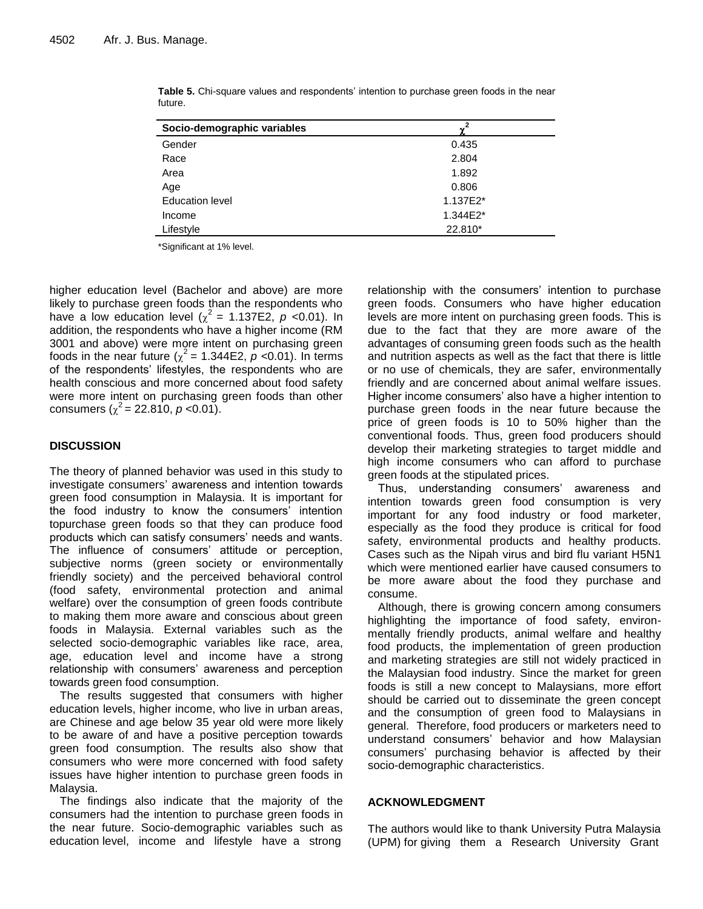| Socio-demographic variables | $\mathbf v$ |
|-----------------------------|-------------|
| Gender                      | 0.435       |
| Race                        | 2.804       |
| Area                        | 1.892       |
| Age                         | 0.806       |
| <b>Education level</b>      | 1.137E2*    |
| Income                      | 1.344E2*    |
| Lifestyle                   | 22.810*     |

**Table 5.** Chi-square values and respondents' intention to purchase green foods in the near future.

\*Significant at 1% level.

higher education level (Bachelor and above) are more likely to purchase green foods than the respondents who have a low education level ( $\chi^2$  = 1.137E2,  $p$  <0.01). In addition, the respondents who have a higher income (RM 3001 and above) were more intent on purchasing green foods in the near future ( $\chi^2$  = 1.344E2,  $p$  < 0.01). In terms of the respondents" lifestyles, the respondents who are health conscious and more concerned about food safety were more intent on purchasing green foods than other consumers ( $\chi^2$  = 22.810, *p* < 0.01).

# **DISCUSSION**

The theory of planned behavior was used in this study to investigate consumers" awareness and intention towards green food consumption in Malaysia. It is important for the food industry to know the consumers' intention topurchase green foods so that they can produce food products which can satisfy consumers' needs and wants. The influence of consumers' attitude or perception, subjective norms (green society or environmentally friendly society) and the perceived behavioral control (food safety, environmental protection and animal welfare) over the consumption of green foods contribute to making them more aware and conscious about green foods in Malaysia. External variables such as the selected socio-demographic variables like race, area, age, education level and income have a strong relationship with consumers' awareness and perception towards green food consumption.

The results suggested that consumers with higher education levels, higher income, who live in urban areas, are Chinese and age below 35 year old were more likely to be aware of and have a positive perception towards green food consumption. The results also show that consumers who were more concerned with food safety issues have higher intention to purchase green foods in Malaysia.

The findings also indicate that the majority of the consumers had the intention to purchase green foods in the near future. Socio-demographic variables such as education level, income and lifestyle have a strong

relationship with the consumers' intention to purchase green foods. Consumers who have higher education levels are more intent on purchasing green foods. This is due to the fact that they are more aware of the advantages of consuming green foods such as the health and nutrition aspects as well as the fact that there is little or no use of chemicals, they are safer, environmentally friendly and are concerned about animal welfare issues. Higher income consumers' also have a higher intention to purchase green foods in the near future because the price of green foods is 10 to 50% higher than the conventional foods. Thus, green food producers should develop their marketing strategies to target middle and high income consumers who can afford to purchase green foods at the stipulated prices.

Thus, understanding consumers" awareness and intention towards green food consumption is very important for any food industry or food marketer, especially as the food they produce is critical for food safety, environmental products and healthy products. Cases such as the Nipah virus and bird flu variant H5N1 which were mentioned earlier have caused consumers to be more aware about the food they purchase and consume.

Although, there is growing concern among consumers highlighting the importance of food safety, environmentally friendly products, animal welfare and healthy food products, the implementation of green production and marketing strategies are still not widely practiced in the Malaysian food industry. Since the market for green foods is still a new concept to Malaysians, more effort should be carried out to disseminate the green concept and the consumption of green food to Malaysians in general. Therefore, food producers or marketers need to understand consumers" behavior and how Malaysian consumers" purchasing behavior is affected by their socio-demographic characteristics.

# **ACKNOWLEDGMENT**

The authors would like to thank University Putra Malaysia (UPM) for giving them a Research University Grant